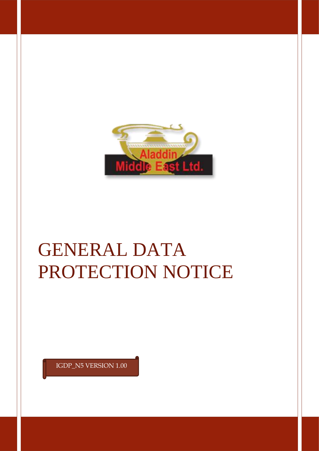

# GENERAL DATA PROTECTION NOTICE

IGDP\_N5 VERSION 1.00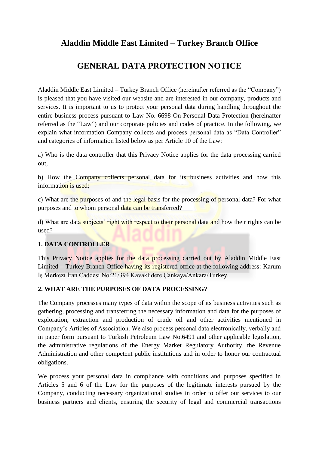# **Aladdin Middle East Limited – Turkey Branch Office**

# **GENERAL DATA PROTECTION NOTICE**

Aladdin Middle East Limited – Turkey Branch Office (hereinafter referred as the "Company") is pleased that you have visited our website and are interested in our company, products and services. It is important to us to protect your personal data during handling throughout the entire business process pursuant to Law No. 6698 On Personal Data Protection (hereinafter referred as the "Law") and our corporate policies and codes of practice. In the following, we explain what information Company collects and process personal data as "Data Controller" and categories of information listed below as per Article 10 of the Law:

a) Who is the data controller that this Privacy Notice applies for the data processing carried out,

b) How the Company collects personal data for its business activities and how this information is used;

c) What are the purposes of and the legal basis for the processing of personal data? For what purposes and to whom personal data can be transferred?

d) What are data subjects' right with respect to their personal data and how their rights can be used?

#### **1. DATA CONTROLLER**

This Privacy Notice applies for the data processing carried out by Aladdin Middle East Limited – Turkey Branch Office having its registered office at the following address: Karum İş Merkezi İran Caddesi No:21/394 Kavaklıdere Çankaya/Ankara/Turkey.

#### **2. WHAT ARE THE PURPOSES OF DATA PROCESSING?**

The Company processes many types of data within the scope of its business activities such as gathering, processing and transferring the necessary information and data for the purposes of exploration, extraction and production of crude oil and other activities mentioned in Company's Articles of Association. We also process personal data electronically, verbally and in paper form pursuant to Turkish Petroleum Law No.6491 and other applicable legislation, the administrative regulations of the Energy Market Regulatory Authority, the Revenue Administration and other competent public institutions and in order to honor our contractual obligations.

We process your personal data in compliance with conditions and purposes specified in Articles 5 and 6 of the Law for the purposes of the legitimate interests pursued by the Company, conducting necessary organizational studies in order to offer our services to our business partners and clients, ensuring the security of legal and commercial transactions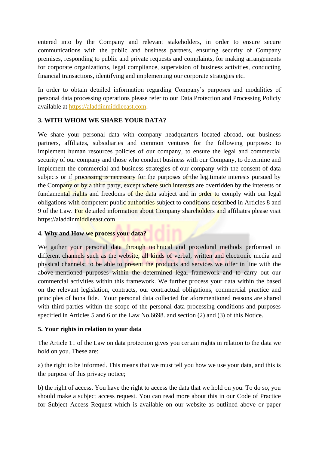entered into by the Company and relevant stakeholders, in order to ensure secure communications with the public and business partners, ensuring security of Company premises, responding to public and private requests and complaints, for making arrangements for corporate organizations, legal compliance, supervision of business activities, conducting financial transactions, identifying and implementing our corporate strategies etc.

In order to obtain detailed information regarding Company's purposes and modalities of personal data processing operations please refer to our Data Protection and Processing Policiy available at [https://aladdinmiddleeast.com.](https://aladdinmiddleeast.com/)

## **3. WITH WHOM WE SHARE YOUR DATA?**

We share your personal data with company headquarters located abroad, our business partners, affiliates, subsidiaries and common ventures for the following purposes: to implement human resources policies of our company, to ensure the legal and commercial security of our company and those who conduct business with our Company, to determine and implement the commercial and business strategies of our company with the consent of data subjects or if processing is necessary for the purposes of the legitimate interests pursued by the Company or by a third party, except where such interests are overridden by the interests or fundamental rights and freedoms of the data subject and in order to comply with our legal obligations with competent public authorities subject to conditions described in Articles 8 and 9 of the Law. For detailed information about Company shareholders and affiliates please visit https://aladdinmiddleeast.com

#### **4. Why and How we process your data?**

We gather your personal data through technical and procedural methods performed in different channels such as the website, all kinds of verbal, written and electronic media and physical channels; to be able to present the products and services we offer in line with the above-mentioned purposes within the determined legal framework and to carry out our commercial activities within this framework. We further process your data within the based on the relevant legislation, contracts, our contractual obligations, commercial practice and principles of bona fide. Your personal data collected for aforementioned reasons are shared with third parties within the scope of the personal data processing conditions and purposes specified in Articles 5 and 6 of the Law No.6698. and section (2) and (3) of this Notice.

### **5. Your rights in relation to your data**

The Article 11 of the Law on data protection gives you certain rights in relation to the data we hold on you. These are:

a) the right to be informed. This means that we must tell you how we use your data, and this is the purpose of this privacy notice;

b) the right of access. You have the right to access the data that we hold on you. To do so, you should make a subject access request. You can read more about this in our Code of Practice for Subject Access Request which is available on our website as outlined above or paper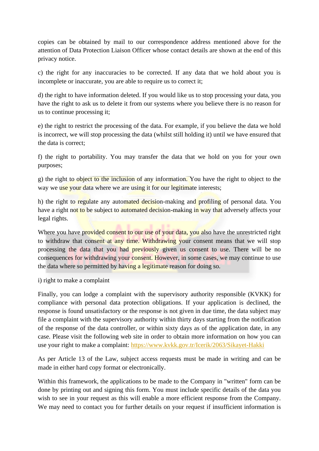copies can be obtained by mail to our correspondence address mentioned above for the attention of Data Protection Liaison Officer whose contact details are shown at the end of this privacy notice.

c) the right for any inaccuracies to be corrected. If any data that we hold about you is incomplete or inaccurate, you are able to require us to correct it:

d) the right to have information deleted. If you would like us to stop processing your data, you have the right to ask us to delete it from our systems where you believe there is no reason for us to continue processing it;

e) the right to restrict the processing of the data. For example, if you believe the data we hold is incorrect, we will stop processing the data (whilst still holding it) until we have ensured that the data is correct;

f) the right to portability. You may transfer the data that we hold on you for your own purposes;

g) the right to object to the inclusion of any information. You have the right to object to the way we use your data where we are using it for our legitimate interests;

h) the right to regulate any automated decision-making and profiling of personal data. You have a right not to be subject to automated decision-making in way that adversely affects your legal rights.

Where you have provided consent to our use of your data, you also have the unrestricted right to withdraw that consent at any time. Withdrawing your consent means that we will stop processing the data that you had previously given us consent to use. There will be no consequences for withdrawing your consent. However, in some cases, we may continue to use the data where so permitted by having a legitimate reason for doing so.

#### i) right to make a complaint

Finally, you can lodge a complaint with the supervisory authority responsible (KVKK) for compliance with personal data protection obligations. If your application is declined, the response is found unsatisfactory or the response is not given in due time, the data subject may file a complaint with the supervisory authority within thirty days starting from the notification of the response of the data controller, or within sixty days as of the application date, in any case. Please visit the following web site in order to obtain more information on how you can use your right to make a complaint:<https://www.kvkk.gov.tr/Icerik/2063/Sikayet-Hakki>

As per Article 13 of the Law, subject access requests must be made in writing and can be made in either hard copy format or electronically.

Within this framework, the applications to be made to the Company in "written" form can be done by printing out and signing this form. You must include specific details of the data you wish to see in your request as this will enable a more efficient response from the Company. We may need to contact you for further details on your request if insufficient information is